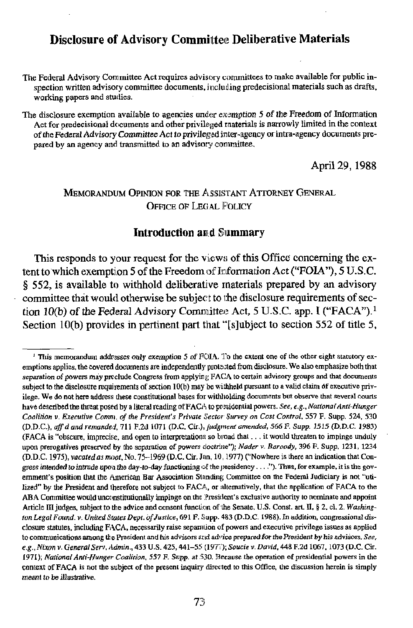# **Disclosure of Advisory Committee Deliberative Materials**

The Federal Advisory Committee Act requires advisory committees to make available for public inspection written advisory committee documents, including predecisional materials such as drafts, working papers and studies.

The disclosure exemption available to agencies under exemption 5 of the Freedom of Information Act for predecisional decuments and other privileged materials is narrowly limited in the context of the Federal Advisory Committee Act to privileged inter-agency or intra-agency documents prepared by an agency and transmitted to an advisory committee,

April 29, 1988

## **MEMORANDIM OPINION FOR THE ASSISTANT ATTORNEY GENERAL OFFICE OF LEGAL FOLICY**

## **Introduction and Summary**

This responds to your request for the views of this Office concerning the extent to which exemption 5 of the Freedom of Information Act ("FOIA"), 5 U.S.C. § 552, is available to withhold deliberative materials prepared by an advisory committee that would otherwise be subject to the disclosure requirements of section 10(b) of the Federal Advisory Committee Act, 5 U.S.C. app. I ("FACA").<sup>1</sup> Section 10(b) provides in pertinent part that "[s]ubject to section 552 of title 5,

If this memorandum addresses only exemption 5 of  $FOM$ . To the extent one of the other eight statutory exemptions applies, the covered documents are independently protected from disclosure. We also emphasize both that separation of powers may preclude Congress from applying FACA to certain advisory groups and that documents subject to the disclosure requirements of section 10(b) may be withheld pursuant to a valid claim of executive privilege. We do not here address these constitutional bases for withholding documents but observe that several courts have described the threat posed by a literal reading of FACA to presidential powers. See, e.g., National Anti-Hunger Coalition v. Executive Comm, of the President's Private Sector Survey on Cost Control, 557 F. Supp. 524, 530 (D.D.C.), aff d and remanded, 711 F.2d 1071 (D.C. Cir.), judgment amended, 566 F. Supp. 1515 (D.D.C. 1983) (FACA is "obscure, imprecise, and open to interpretations so broad that . . . it would threaten to impinge unduly upon prerogatives preserved by the separation of powers doctrine"); Nader v. Baroody, 396 F. Supp. 1231, 1234 (D.D.C. 1975), vacated as moot, No. 75-1969 (D.C. Cir. Jan. 10, 1977) ("Nowhere is there an indication that Congress intended to intrude upon the day-to-day functioning of the presidency ...."). Thus, for example, it is the government's position that the American Bar Association Standing Committee on the Federal Judiciary is not "utilized" by the President and therefore not subject to FACA, or alternatively, that the application of FACA to the ABA Committee would unconstitutionally impinge on the President's exclusive authority to nominate and appoint Article III indees, subject to the advice and consent function of the Senate, U.S. Const. art, II, § 2, cl, 2, Washington Legal Found, v. United States Dept. of Justice, 691 F. Supp. 483 (D.D.C. 1988). In addition, congressional disclosure statutes, including FACA, necessarily raise separation of powers and executive privilege issues as applied to communications among the President and his advisors and advice prepared for the President by his advisors. See, e.g., Nixon v. General Serv. Admin., 433 U.S. 425, 441–55 (1977); Soucie v. David, 448 F.2d 1067, 1073 (D.C. Cir. 1971); National Anti-Hunger Coalition, 557 F. Supp. at 530. Because the operation of presidential powers in the context of FACA is not the subject of the present inquiry directed to this Office, the discussion herein is simply meant to be illustrative.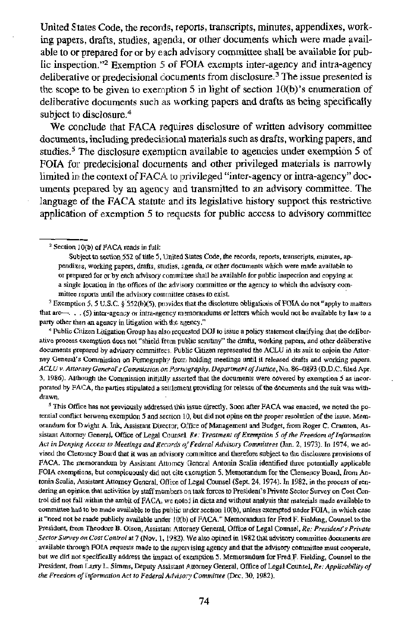United States Code, the records, reports, transcripts, minutes, appendixes, working papers, drafts, studies, agenda, or other documents which were made available to or prepared for or by each advisory committee shall be available fof public inspection."<sup>2</sup> Exemption 5 of FOIA exempts inter-agency and intra-agency deliberative or predecisional clocuments from disclosure.<sup>3</sup> The issue presented is the scope to be given to exemption 5 in light of section  $10(b)$ 's enumeration of deliberative documents such as working papers and drafts as being specifically subject to disclosure.<sup>4</sup>

We conclude that FACA requires disclosure of written advisory committee documents, including predecisional materials such as drafts, working papers, and studies.<sup>5</sup> The disclosure exemption available to agencies under exemption 5 of FOIA for predecisional documents and other privileged materials is narrowly limited in the context of FACA to privileged "inter-agency or intra-agency" documents prepared by an agency and transmitted to an advisory committee. The language of the FACA statute and its legislative history support this restrictive applicaticm of exemption 5 to requests for public access to advisory committee

<sup>3</sup> Exemption 5, 5 U.S.C. § 552(b)(5), provides that the disclosure obligations of FOIA do not "apply to matters that **ar-.** . . (5) mra-agency or inma-agency m~?morandums or letters which would **not** be available by law **to** <sup>a</sup> party other than an agency in litigation with the altency."

<sup>4</sup> Public Citizen Litigation Group has also requested DOJ to issue a policy statement clarifying that the deliberative process exemption does not "shield from public scritiny" the drafts, working papers, and other deliberative documents prepared by advisory committees. Public Citizen represented the ACLU in its suit to enjoin the Attor**nv Oeneral's** Commission **on** Pomographjr fror holding meetings until it released **drafts** and working papers. ACLU v. Attorizey General's Commission on Pornography, Department of Justice, No. 86-0893 (D.D.C. filed Apr. 3, 1986). Although the Commission initially assofed that the documents **were** covered by **5 as** incorporated by FACA, the parties stipulated a settlement providing for release of the documents and the suit was withdrawn.

<sup>5</sup> This Office has not previously addressed this issue directly. Soon after FACA was enacted, we noted the potential conflict between exemption 5 and section 10, but did not opine on the proper resolution of the issue. Memorandum for Dwight A. Ink, Assistant Director, Oi'fice of Management and Budget, from Roger C. Cramton, Assistant Attorney General, Office of Legal Counsel. Re: Treatment of Exemption 5 of the Freedom of Information *Acr in Denying Access* **lo Meetings** *andReo~rds* **q'hdeml** *Advisory Comnrilrees* **(Ian.** *2,* 1973). In 1974, we advised the Clemency Board that it was an advisory committee and therefore subject to the disclosure provisions of FACA. The memorandum by Assistant Attorney General Antonin Scalia identified three potentially applicable FOIA exemptions, but conspicuously did not cite exemption 5. Memorandum for the Clemency Board, from Antonin Scalia, Assistant Attorney General, Office of Legal Counsel (Sept. 24, 1974). In 1982, in the process of rendering an opinion that activities by staff members on task forces to President's Private Sector Survey on Cost Con-Uol did **not** fail **within** the ambit of PACA. wc nolci in **dim** and without andvsir that materials made available to committee had to be made available to the public under section 10(b), unless exempted under FOIA, in which case it "need not be raade publicly available under 10(b) of FACA." Memorandum for Fred F. Fielding, Counsel to the Resident, from Theodore B. Olson, Assistant Attorney General, Office of Legal Counsel, Re: President's Private **Secfor** *Survay* **orr Cost Control at** 7 **(Nov.** 1. IPSZ). **1Ve also** opinedin 1982 lhat advisory canmineedocumcnts **are**  available through FOIA requests made to the supervising agency and that the advisory committee must cooperate, but we did not specifically address the impact of exemption 5. Memorandum for Fred F. Fielding, Counsel to the President, from Larry L. Simms, Deputy Assistant Attorney General, Office of Legal Counsel, Re: Applicability of *the Freedom* ofinformotion *Act lo* **Federal** Advisor:i *Comnlinec* (Dec. 30. 1982).

<sup>-</sup>  Section 1O(b) **of** FACA reads in full:

Subject to section 552 of title 5, United States Code, the records, reports, transcripts, minutes, appendixes, working papers, drafts, studies, agenda, or other documents which were made available to or prepimd for orby each advisory **ccmmmi:lce** shall be available for public inspection and copying **ar**  a single location in the offices of the advisory committee or the agency to which the advisory com-<br>mittee reports until the advisory committee ceases to exist.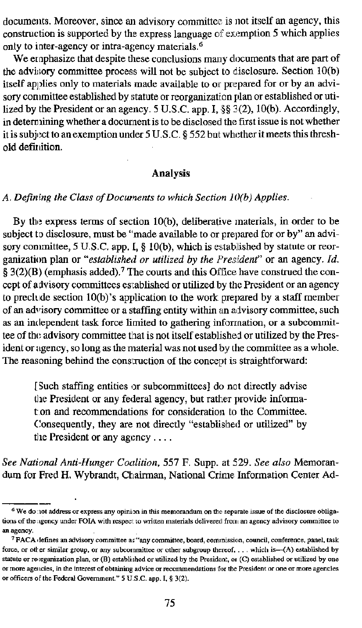documents. Moreover, since an advisory committee is not itself an agency, this construction is supported by the express language of exemption 5 which applies only to inter-agency or intra-agency materials.<sup>6</sup>

We ernphasize that despite these conclusions many documents that are part of the advisory committee process will not be subject to disclosure. Section  $10(b)$ itself applies only to materials made available to or pnepared for or by an advisory conmittee established by statute or reorganization plan or established or utilized by the President or an agency. 5 U.S.C. app. I, **\$5** 3(2), 10(b). Accordingly, in determining whether a document is to be disclosed the first issue is not whether it is subject to an exemption under  $5 U.S.C.$  §  $552$  but whether it meets this threshold definition.

#### **Analysis**

#### A. Defining the Class of Documents to which Section 10(b) Applies.

By the express terms of section  $10(b)$ , deliberative materials, in order to be subject to disclosure, must be "made available to or prepared for or by" an advisory conimittee, 5 U.S.C. app.  $I$ , § 10(b), which is established by statute or reorganization plan or "established or utilized by the *Fresident*" or an agency. *Id.* **5** 3(2)(B) (emphasis added).7 'Ibe courts and this Office have construed the concept of advisory committees established or utilized by the President or an agency to prechde section 10(b)'s application to the work prepared by a staff member of an advisory committee or a staffing entity within an advisory committee, such as an independent task force limited to gathering information, or a subcommittee of the advisory committee that is not itself established or utilized by the President or agency, so long as the material was not used by the committee as a whole. The reasoning behind the construction of the concept is straightforward:

[Such staffing entities or subcommittees] do not directly advise the President or any federal agency, but rather provide informat on and recommendations for consideration to the Committee. Consequently, they are not directly "established or utilized" by tlie President or any agcncy . . . .

*See National Anti-Hunger Co~rlition,* 557 *F.* Supp. at 529. *See also* Memorandum for Fred **H.** Wybrandt, Ct~ainnan, National Crime Information Center Ad- --

**<sup>&</sup>lt;sup>6</sup>** We do not address or express any opinion in this memorandum on the separate issue of the disclosure obligations of the agency under FOIA with respect to written materials delivered from an agency advisory committee to **anagency.** ' **PACA** (defines **an advisory comminee mi "any committee, board, comrniwnn, council, conference,** pancl, **mk** 

force, or other similar group, or any subcornmittee or other subgroup thereof, . . . which is---(A) established by **8b** statute or revrganization plan, or (B) established or utilized by the President, or (C) established or utilized by one  $\alpha$  **more agencies, in the interest of obtaining advice or recommendations for the President or one or more agencies or officers of the Federal Government." 5 U.S.C. app. I, § 3(2).**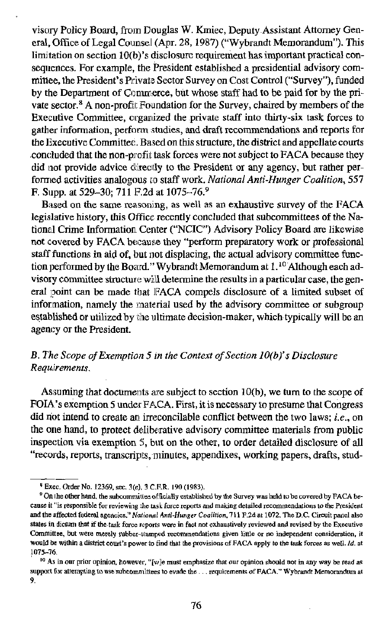visory Policy Board, from Douglas W. Kmiec, Deputy Assistant Attorney General. Office of Legal Counsel (Apr. 28, 1987) ("Wybrandt Memorandum"). This limi tation on section lO(b)'s disclosure requirement has important practical consequences. For example, the President established a presidential advisory committee, the President's Private Sector Survey on Cost Control ("Survey"), funded by the Department of Commerce, but whose staff had to be paid for by the private sector.<sup>8</sup> A non-profit Foundation for the Survey, chaired by members of the Executive Committee, organized the private staff into thirty-six task forces to gather information, perform studies, and draft recommendations and reports for the Executive Committee. Based on this structure, the district and appellate courts .concluded that the non-profit task forces were not subject to  $FACA$  because they did not provide advice directly to the President or any agency, but rather perfom~ed activities analogous to staff work. *National Anti-Hunger Coalition,* 557 F. Silpp. at 529-30; 711 F.2d at 1075-76.9

Based on the same reasoning, as well as an exhaustive survey of the FACA legislative history, this Office recently concluded that subcommittees of the National Crime Information Center ("NCIC") Advisory Policy Board are likewise not covered by FACA because they "perform preparatory work or professional staff functions in aid of, but not displacing, the actual advisory committee function performed by the Board." Wybrandt Memorandum at  $1.10$  Although each advisory committee structure **will** determine the results in a particular case, the general point can be made that FACA compels disclosure of a limited subset of information, namely the material used by the advisory committee or subgroup established or utilized by the ultimate decision-maker, which typically will be an agency or the President.

# *8. The Scope ofExemption 5 in the Context of Section lO(b)'s Disclosure Requ,irements.*

Assuming that documents are subject to section  $10(b)$ , we turn to the scope of FOIA's exemption 5 under FACA. First, it is necessary to presume that Congress did not intend to create an irreconcilable conflict between the two laws; *i.e.*, on the one hand, to protect deliberative advisory committee materials from public inspection via exemption **9,** but on the other, to order detailed disclosure of all "records, reports, transcripts, minutes, appendixes, working papers, drafts, stud-

<sup>&</sup>lt;sup>9</sup> Exec. Order No. 12369, sec. 3(e), 3 C.F.R. 190 (1983).<br><sup>9</sup> On the other hand, the subcommittee of ficially established by the Survey was held to be covered by FACA be**cause it ''is responsible far reviewing** rile **rark force rcpom and mhg detailed recommendations to the President**  and the affected federal agencies." National Anti-Hunger Coalition. 711 F.2d at 1072. The D.C. Circuit panel also states in dictum that if the task force reports were in fact not exhaustively reviewed and revised by the Executive Committee, but were merely *subber-stamped* recommendations given little or no independent consideration, it **would be within a district court's power to find that the provisions of FACA apply to the task forces as well. Id. at 1075-76** ~ ~

<sup>&</sup>lt;sup>10</sup> As in our prior opinion, however, "[w]e must emphasize that our opinion should not in any way be read as support for attempting to use subcommittees to evade the ... requirements of FACA." Wybrandt Memorandum at **9.**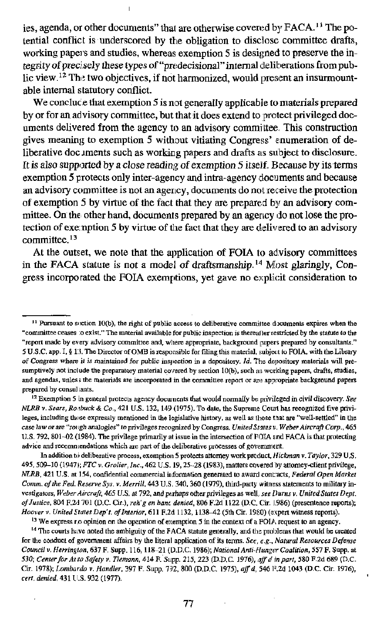ies, agenda, or other documents" that are otherwise covered by FACA.<sup>11</sup> The potential conflict is underscored by the obligation to disclose committee drafts. working papers and studies, whereas exemption 5 is designed to preserve the integrity of precisely these types of "predecisional" internal deliberations from public view.<sup>12</sup> The two objectives, if not harmonized, would present an insurmountable internal statutory conflict.

We conclude that exemption 5 is not generally applicable to materials prepared by or for an advisory committee, but that it does extend to protect privileged documents delivered from the agency to an advisory committee. This construction gives meaning to exemption 5 without vitiating Congress' enumeration of deliberative doc iments such as working papers and drafts as subject to disclosure. It is also supported by a close reading of exemption 5 itself. Because by its terms exemption 5 protects only inter-agency and intra-agency documents and because an advisory committee is not an agency, documents do not receive the protection of exemption 5 by virtue of the fact that they are prepared by an advisory committee. On the other hand, documents prepared by an agency do not lose the protection of exemption 5 by virtue of the fact that they are delivered to an advisory committee. $13$ 

At the outset, we note that the application of FOIA to advisory committees in the FACA statute is not a model of draftsmanship.<sup>14</sup> Most glaringly, Congress incorporated the FOIA exemptions, yet gave no explicit consideration to

<sup>13</sup> We express r.o opinion on the operation of exemption 5 in the context of a FOIA request to an agency.

<sup>14</sup> The courts have noted the ambiguity of the FACA statute generally, and the problems that would be created for the conduct of government affairs by the literal application of its terms. See, e.g., Natural Resources Defense Council v. Herrington, 637 F. Supp. 116, 118-21 (D.D.C. 1986); National Anti-Hunger Coalition, 557 F. Supp. at 530; Center for Avio Safety v. Tiemann, 414 F. Supp. 215, 223 (D.D.C. 1976), aff d in part, 580 F.2d 689 (D.C. Cir. 1978); Lombardo v. Handler, 397 F. Supp. 792, 800 (D.D.C. 1975), aff d, 546 F.2d 1043 (D.C. Cir. 1976), cert. denied, 431 U.S. 932 (1977).

 $11$  Pursuant to section 10(b), the right of public access to deliberative committee documents expires when the "committee ceases to exist." The material available for public inspection is thereaffer restricted by the statute to the "report made by every advisory committee and, where appropriate, background papers prepared by consultants." 5 U.S.C. app. I, § 13. The Director of OMB is responsible for filing this material, subject to FOIA, with the Library of Congress where it is maintained for public inspection in a depository. Id. The depository materials will presumptively not include the preparatory material covered by section 10(b), such as working papers, drafts, studies, and agendas, unless the materials are incorporated in the committee report or are appropriate background papers prepared by consul jants.

<sup>&</sup>lt;sup>12</sup> Exemption 5 in general protects agency documents that would normally be privileged in civil discovery. See NLRB v. Sears, Rosbuck & Co., 421 U.S. 132, 149 (1975). To date, the Supreme Court has recognized five privileges, including those expressly mentioned in the legislative history, as well as those that are "well-settled" in the case law or are "rough analogies" to privileges recognized by Congress, United States.v. Weber Aircraft Corp., 465 U.S. 792, 801-02 (1984). The privilege primarily at issue in the intersection of  $FOMA$  and FACA is that protecting advice and recommendations which are part of the deliberative processes of government.

In addition to deliberative process, exemption 5 protects attorney work product, Hickman v. Taylor, 329 U.S. 495, 509-10 (1947); FTC v. Groller, Inc., 462 U.S. 19, 25-28 (1983), matters covered by attorney-client privilege, NLRB, 421 U.S. at 154, confidential commercial information generated to award contracts, Federal Open Market Comm. of the Fed. Reserve Sys. v. Merrill, 443 U.S. 340, 360 (1979), third-party witness statements to military investigators, Weber Aircraft, 465 U.S. at 792, and perhaps other privileges as well, see Durns v. United States Dept. of Justice, 804 F.2d 701 (D.C. Cir.), reh'g en banc denied, 806 F.2d 1122 (D.C. Cir. 1986) (presentence reports); Hoover v. United States Dep't. of Interior, 611 F.2d 1132, 1138-42 (5th Cir. 1980) (expert witness reports).